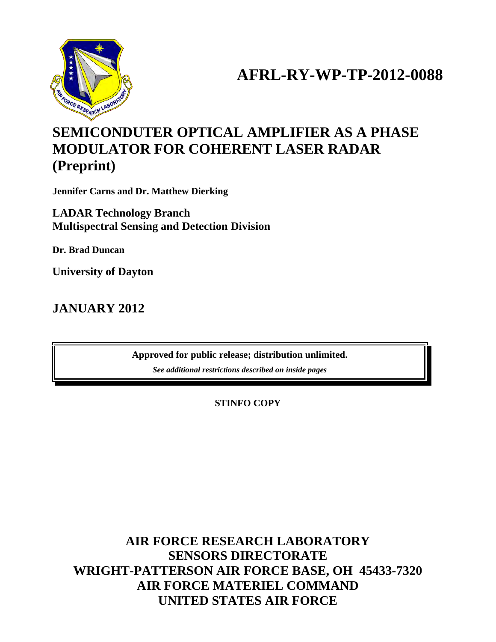

# **AFRL-RY-WP-TP-2012-0088**

## **SEMICONDUTER OPTICAL AMPLIFIER AS A PHASE MODULATOR FOR COHERENT LASER RADAR (Preprint)**

**Jennifer Carns and Dr. Matthew Dierking**

**LADAR Technology Branch Multispectral Sensing and Detection Division**

**Dr. Brad Duncan**

**University of Dayton**

**JANUARY 2012**

**Approved for public release; distribution unlimited.**

*See additional restrictions described on inside pages*

**STINFO COPY**

**AIR FORCE RESEARCH LABORATORY SENSORS DIRECTORATE WRIGHT-PATTERSON AIR FORCE BASE, OH 45433-7320 AIR FORCE MATERIEL COMMAND UNITED STATES AIR FORCE**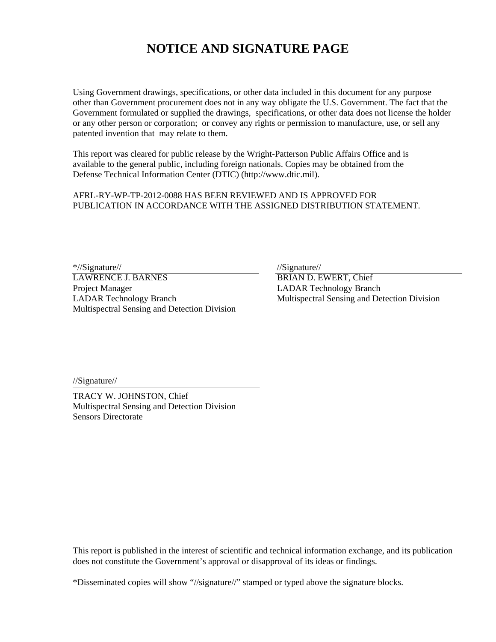### **NOTICE AND SIGNATURE PAGE**

Using Government drawings, specifications, or other data included in this document for any purpose other than Government procurement does not in any way obligate the U.S. Government. The fact that the Government formulated or supplied the drawings, specifications, or other data does not license the holder or any other person or corporation; or convey any rights or permission to manufacture, use, or sell any patented invention that may relate to them.

This report was cleared for public release by the Wright-Patterson Public Affairs Office and is available to the general public, including foreign nationals. Copies may be obtained from the Defense Technical Information Center (DTIC) (http://www.dtic.mil).

AFRL-RY-WP-TP-2012-0088 HAS BEEN REVIEWED AND IS APPROVED FOR PUBLICATION IN ACCORDANCE WITH THE ASSIGNED DISTRIBUTION STATEMENT.

\*//Signature//<br>
LAWRENCE J. BARNES<br>
TRIAN D. E Project Manager LADAR Technology Branch LADAR Technology Branch Multispectral Sensing and Detection Division Multispectral Sensing and Detection Division

BRIAN D. EWERT, Chief

//Signature//

TRACY W. JOHNSTON, Chief Multispectral Sensing and Detection Division Sensors Directorate

This report is published in the interest of scientific and technical information exchange, and its publication does not constitute the Government's approval or disapproval of its ideas or findings.

\*Disseminated copies will show "//signature//" stamped or typed above the signature blocks.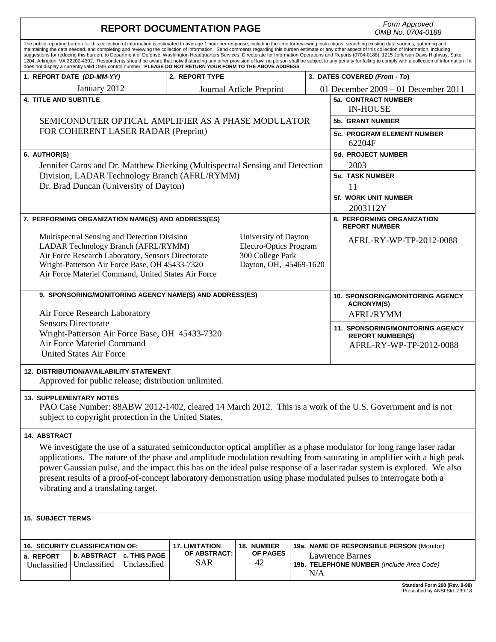| <b>REPORT DOCUMENTATION PAGE</b>                                                                                                                                                                                                                                                                                                                                                                                                                                                                                                                                                                                                                                                                                                                                                                                                                                                                                                                                   | Form Approved<br>OMB No. 0704-0188                                                            |                                       |                        |     |  |                                                                     |  |  |
|--------------------------------------------------------------------------------------------------------------------------------------------------------------------------------------------------------------------------------------------------------------------------------------------------------------------------------------------------------------------------------------------------------------------------------------------------------------------------------------------------------------------------------------------------------------------------------------------------------------------------------------------------------------------------------------------------------------------------------------------------------------------------------------------------------------------------------------------------------------------------------------------------------------------------------------------------------------------|-----------------------------------------------------------------------------------------------|---------------------------------------|------------------------|-----|--|---------------------------------------------------------------------|--|--|
| The public reporting burden for this collection of information is estimated to average 1 hour per response, including the time for reviewing instructions, searching existing data sources, gathering and<br>maintaining the data needed, and completing and reviewing the collection of information. Send comments regarding this burden estimate or any other aspect of this collection of information, including<br>suggestions for reducing this burden, to Department of Defense, Washington Headquarters Services, Directorate for Information Operations and Reports (0704-0188), 1215 Jefferson Davis Highway, Suite<br>1204, Arlington, VA 22202-4302. Respondents should be aware that notwithstanding any other provision of law, no person shall be subject to any penalty for failing to comply with a collection of information if it<br>does not display a currently valid OMB control number. PLEASE DO NOT RETURN YOUR FORM TO THE ABOVE ADDRESS. |                                                                                               |                                       |                        |     |  |                                                                     |  |  |
| 1. REPORT DATE (DD-MM-YY)                                                                                                                                                                                                                                                                                                                                                                                                                                                                                                                                                                                                                                                                                                                                                                                                                                                                                                                                          |                                                                                               | 2. REPORT TYPE                        |                        |     |  | 3. DATES COVERED (From - To)                                        |  |  |
| January 2012                                                                                                                                                                                                                                                                                                                                                                                                                                                                                                                                                                                                                                                                                                                                                                                                                                                                                                                                                       |                                                                                               | Journal Article Preprint              |                        |     |  | 01 December $2009 - 01$ December 2011                               |  |  |
| <b>4. TITLE AND SUBTITLE</b>                                                                                                                                                                                                                                                                                                                                                                                                                                                                                                                                                                                                                                                                                                                                                                                                                                                                                                                                       | 5a. CONTRACT NUMBER<br><b>IN-HOUSE</b>                                                        |                                       |                        |     |  |                                                                     |  |  |
| SEMICONDUTER OPTICAL AMPLIFIER AS A PHASE MODULATOR                                                                                                                                                                                                                                                                                                                                                                                                                                                                                                                                                                                                                                                                                                                                                                                                                                                                                                                | <b>5b. GRANT NUMBER</b>                                                                       |                                       |                        |     |  |                                                                     |  |  |
| FOR COHERENT LASER RADAR (Preprint)                                                                                                                                                                                                                                                                                                                                                                                                                                                                                                                                                                                                                                                                                                                                                                                                                                                                                                                                | <b>5c. PROGRAM ELEMENT NUMBER</b><br>62204F                                                   |                                       |                        |     |  |                                                                     |  |  |
| 6. AUTHOR(S)                                                                                                                                                                                                                                                                                                                                                                                                                                                                                                                                                                                                                                                                                                                                                                                                                                                                                                                                                       |                                                                                               |                                       |                        |     |  | <b>5d. PROJECT NUMBER</b>                                           |  |  |
| Jennifer Carns and Dr. Matthew Dierking (Multispectral Sensing and Detection                                                                                                                                                                                                                                                                                                                                                                                                                                                                                                                                                                                                                                                                                                                                                                                                                                                                                       |                                                                                               |                                       |                        |     |  | 2003                                                                |  |  |
| Division, LADAR Technology Branch (AFRL/RYMM)                                                                                                                                                                                                                                                                                                                                                                                                                                                                                                                                                                                                                                                                                                                                                                                                                                                                                                                      | <b>5e. TASK NUMBER</b>                                                                        |                                       |                        |     |  |                                                                     |  |  |
| Dr. Brad Duncan (University of Dayton)                                                                                                                                                                                                                                                                                                                                                                                                                                                                                                                                                                                                                                                                                                                                                                                                                                                                                                                             | 11                                                                                            |                                       |                        |     |  |                                                                     |  |  |
|                                                                                                                                                                                                                                                                                                                                                                                                                                                                                                                                                                                                                                                                                                                                                                                                                                                                                                                                                                    |                                                                                               |                                       |                        |     |  | <b>5f. WORK UNIT NUMBER</b>                                         |  |  |
|                                                                                                                                                                                                                                                                                                                                                                                                                                                                                                                                                                                                                                                                                                                                                                                                                                                                                                                                                                    |                                                                                               |                                       |                        |     |  | 2003112Y                                                            |  |  |
| 7. PERFORMING ORGANIZATION NAME(S) AND ADDRESS(ES)                                                                                                                                                                                                                                                                                                                                                                                                                                                                                                                                                                                                                                                                                                                                                                                                                                                                                                                 | 8. PERFORMING ORGANIZATION<br><b>REPORT NUMBER</b>                                            |                                       |                        |     |  |                                                                     |  |  |
| Multispectral Sensing and Detection Division<br>University of Dayton<br>LADAR Technology Branch (AFRL/RYMM)<br>Electro-Optics Program<br>300 College Park<br>Air Force Research Laboratory, Sensors Directorate<br>Wright-Patterson Air Force Base, OH 45433-7320<br>Dayton, OH, 45469-1620<br>Air Force Materiel Command, United States Air Force                                                                                                                                                                                                                                                                                                                                                                                                                                                                                                                                                                                                                 |                                                                                               |                                       |                        |     |  | AFRL-RY-WP-TP-2012-0088                                             |  |  |
| 9. SPONSORING/MONITORING AGENCY NAME(S) AND ADDRESS(ES)                                                                                                                                                                                                                                                                                                                                                                                                                                                                                                                                                                                                                                                                                                                                                                                                                                                                                                            | <b>10. SPONSORING/MONITORING AGENCY</b>                                                       |                                       |                        |     |  |                                                                     |  |  |
| Air Force Research Laboratory                                                                                                                                                                                                                                                                                                                                                                                                                                                                                                                                                                                                                                                                                                                                                                                                                                                                                                                                      | <b>ACRONYM(S)</b>                                                                             |                                       |                        |     |  |                                                                     |  |  |
| <b>Sensors Directorate</b>                                                                                                                                                                                                                                                                                                                                                                                                                                                                                                                                                                                                                                                                                                                                                                                                                                                                                                                                         |                                                                                               |                                       |                        |     |  | <b>AFRL/RYMM</b>                                                    |  |  |
| Wright-Patterson Air Force Base, OH 45433-7320<br>Air Force Materiel Command<br><b>United States Air Force</b>                                                                                                                                                                                                                                                                                                                                                                                                                                                                                                                                                                                                                                                                                                                                                                                                                                                     | <b>11. SPONSORING/MONITORING AGENCY</b><br><b>REPORT NUMBER(S)</b><br>AFRL-RY-WP-TP-2012-0088 |                                       |                        |     |  |                                                                     |  |  |
| <b>12. DISTRIBUTION/AVAILABILITY STATEMENT</b><br>Approved for public release; distribution unlimited.                                                                                                                                                                                                                                                                                                                                                                                                                                                                                                                                                                                                                                                                                                                                                                                                                                                             |                                                                                               |                                       |                        |     |  |                                                                     |  |  |
| <b>13. SUPPLEMENTARY NOTES</b><br>PAO Case Number: 88ABW 2012-1402, cleared 14 March 2012. This is a work of the U.S. Government and is not<br>subject to copyright protection in the United States.                                                                                                                                                                                                                                                                                                                                                                                                                                                                                                                                                                                                                                                                                                                                                               |                                                                                               |                                       |                        |     |  |                                                                     |  |  |
| <b>14. ABSTRACT</b><br>We investigate the use of a saturated semiconductor optical amplifier as a phase modulator for long range laser radar<br>applications. The nature of the phase and amplitude modulation resulting from saturating in amplifier with a high peak<br>power Gaussian pulse, and the impact this has on the ideal pulse response of a laser radar system is explored. We also<br>present results of a proof-of-concept laboratory demonstration using phase modulated pulses to interrogate both a<br>vibrating and a translating target.                                                                                                                                                                                                                                                                                                                                                                                                       |                                                                                               |                                       |                        |     |  |                                                                     |  |  |
| <b>15. SUBJECT TERMS</b>                                                                                                                                                                                                                                                                                                                                                                                                                                                                                                                                                                                                                                                                                                                                                                                                                                                                                                                                           |                                                                                               |                                       |                        |     |  |                                                                     |  |  |
|                                                                                                                                                                                                                                                                                                                                                                                                                                                                                                                                                                                                                                                                                                                                                                                                                                                                                                                                                                    |                                                                                               |                                       |                        |     |  |                                                                     |  |  |
| <b>16. SECURITY CLASSIFICATION OF:</b>                                                                                                                                                                                                                                                                                                                                                                                                                                                                                                                                                                                                                                                                                                                                                                                                                                                                                                                             |                                                                                               | <b>17. LIMITATION</b><br>OF ABSTRACT: | 18. NUMBER<br>OF PAGES |     |  | 19a. NAME OF RESPONSIBLE PERSON (Monitor)                           |  |  |
| <b>b. ABSTRACT</b><br>a. REPORT<br>Unclassified<br>Unclassified                                                                                                                                                                                                                                                                                                                                                                                                                                                                                                                                                                                                                                                                                                                                                                                                                                                                                                    | c. THIS PAGE<br>Unclassified                                                                  | <b>SAR</b>                            | 42                     | N/A |  | <b>Lawrence Barnes</b><br>19b. TELEPHONE NUMBER (Include Area Code) |  |  |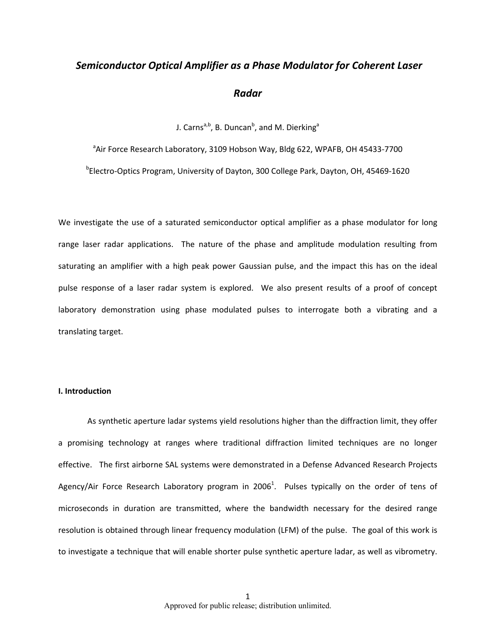# *Semiconductor Optical Amplifier as a Phase Modulator for Coherent Laser Radar*

J. Carns<sup>a,b</sup>, B. Duncan<sup>b</sup>, and M. Dierking<sup>a</sup>

<sup>a</sup>Air Force Research Laboratory, 3109 Hobson Way, Bldg 622, WPAFB, OH 45433-7700

b Electro‐Optics Program, University of Dayton, 300 College Park, Dayton, OH, 45469‐1620

We investigate the use of a saturated semiconductor optical amplifier as a phase modulator for long range laser radar applications. The nature of the phase and amplitude modulation resulting from saturating an amplifier with a high peak power Gaussian pulse, and the impact this has on the ideal pulse response of a laser radar system is explored. We also present results of a proof of concept laboratory demonstration using phase modulated pulses to interrogate both a vibrating and a translating target.

#### **I. Introduction**

As synthetic aperture ladar systems yield resolutions higher than the diffraction limit, they offer a promising technology at ranges where traditional diffraction limited techniques are no longer effective. The first airborne SAL systems were demonstrated in a Defense Advanced Research Projects Agency/Air Force Research Laboratory program in 2006<sup>1</sup>. Pulses typically on the order of tens of microseconds in duration are transmitted, where the bandwidth necessary for the desired range resolution is obtained through linear frequency modulation (LFM) of the pulse. The goal of this work is to investigate a technique that will enable shorter pulse synthetic aperture ladar, as well as vibrometry.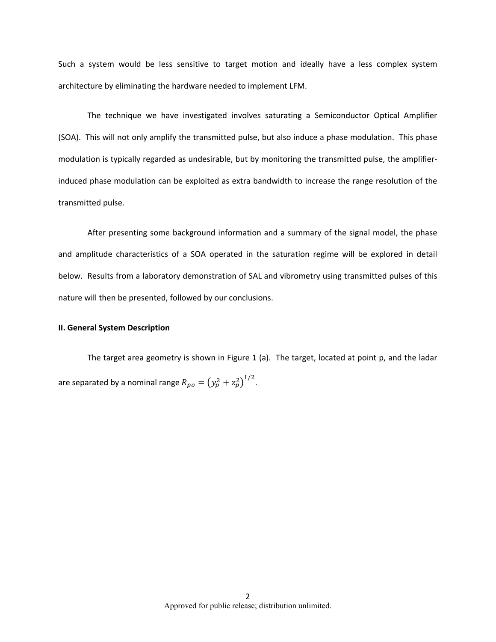Such a system would be less sensitive to target motion and ideally have a less complex system architecture by eliminating the hardware needed to implement LFM.

The technique we have investigated involves saturating a Semiconductor Optical Amplifier (SOA). This will not only amplify the transmitted pulse, but also induce a phase modulation. This phase modulation is typically regarded as undesirable, but by monitoring the transmitted pulse, the amplifier‐ induced phase modulation can be exploited as extra bandwidth to increase the range resolution of the transmitted pulse.

After presenting some background information and a summary of the signal model, the phase and amplitude characteristics of a SOA operated in the saturation regime will be explored in detail below. Results from a laboratory demonstration of SAL and vibrometry using transmitted pulses of this nature will then be presented, followed by our conclusions.

#### **II. General System Description**

The target area geometry is shown in Figure 1 (a). The target, located at point p, and the ladar are separated by a nominal range  $R_{po} = (y_p^2 + z_p^2)^{1/2}$ .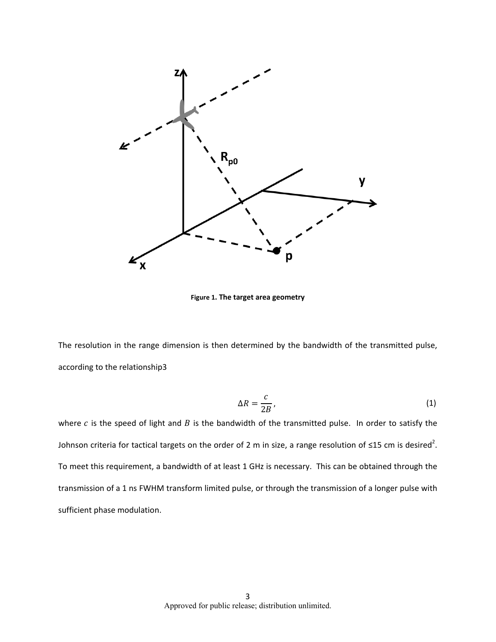

**Figure 1. The target area geometry**

The resolution in the range dimension is then determined by the bandwidth of the transmitted pulse, according to the relationship3

$$
\Delta R = \frac{c}{2B},\tag{1}
$$

where  $c$  is the speed of light and  $B$  is the bandwidth of the transmitted pulse. In order to satisfy the Johnson criteria for tactical targets on the order of 2 m in size, a range resolution of ≤15 cm is desired<sup>2</sup>. To meet this requirement, a bandwidth of at least 1 GHz is necessary. This can be obtained through the transmission of a 1 ns FWHM transform limited pulse, or through the transmission of a longer pulse with sufficient phase modulation.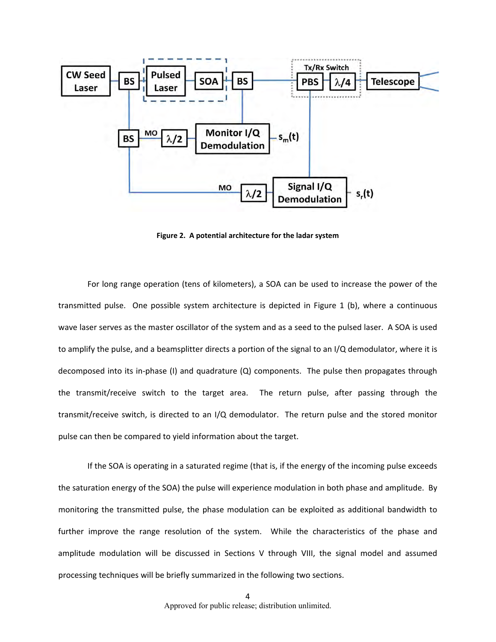

**Figure 2. A potential architecture for the ladar system**

For long range operation (tens of kilometers), a SOA can be used to increase the power of the transmitted pulse. One possible system architecture is depicted in Figure 1 (b), where a continuous wave laser serves as the master oscillator of the system and as a seed to the pulsed laser. A SOA is used to amplify the pulse, and a beamsplitter directs a portion of the signal to an I/Q demodulator, where it is decomposed into its in-phase (I) and quadrature (Q) components. The pulse then propagates through the transmit/receive switch to the target area. The return pulse, after passing through the transmit/receive switch, is directed to an I/Q demodulator. The return pulse and the stored monitor pulse can then be compared to yield information about the target.

If the SOA is operating in a saturated regime (that is, if the energy of the incoming pulse exceeds the saturation energy of the SOA) the pulse will experience modulation in both phase and amplitude. By monitoring the transmitted pulse, the phase modulation can be exploited as additional bandwidth to further improve the range resolution of the system. While the characteristics of the phase and amplitude modulation will be discussed in Sections V through VIII, the signal model and assumed processing techniques will be briefly summarized in the following two sections.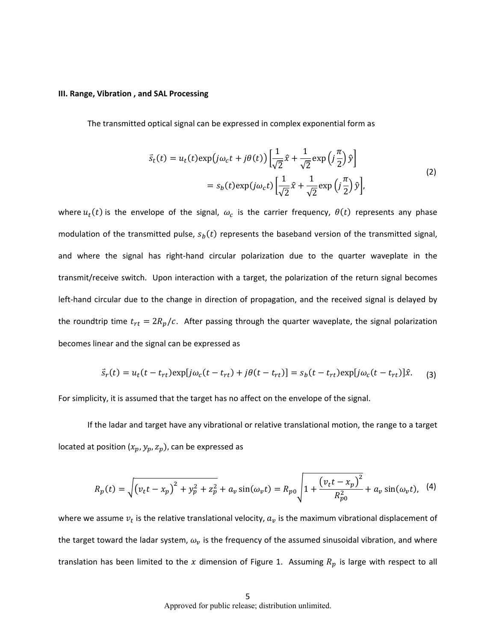#### **III. Range, Vibration , and SAL Processing**

The transmitted optical signal can be expressed in complex exponential form as

$$
\vec{s}_t(t) = u_t(t) \exp(j\omega_c t + j\theta(t)) \left[ \frac{1}{\sqrt{2}} \hat{x} + \frac{1}{\sqrt{2}} \exp\left(j\frac{\pi}{2}\right) \hat{y} \right]
$$
  
=  $s_b(t) \exp(j\omega_c t) \left[ \frac{1}{\sqrt{2}} \hat{x} + \frac{1}{\sqrt{2}} \exp\left(j\frac{\pi}{2}\right) \hat{y} \right],$  (2)

where  $u_t(t)$  is the envelope of the signal,  $\omega_c$  is the carrier frequency,  $\theta(t)$  represents any phase modulation of the transmitted pulse,  $s<sub>b</sub>(t)$  represents the baseband version of the transmitted signal, and where the signal has right-hand circular polarization due to the quarter waveplate in the transmit/receive switch. Upon interaction with a target, the polarization of the return signal becomes left-hand circular due to the change in direction of propagation, and the received signal is delayed by the roundtrip time  $t_{rt} = 2R_p/c$ . After passing through the quarter waveplate, the signal polarization becomes linear and the signal can be expressed as

$$
\vec{s}_r(t) = u_t(t - t_{rt}) \exp[j\omega_c(t - t_{rt}) + j\theta(t - t_{rt})] = s_b(t - t_{rt}) \exp[j\omega_c(t - t_{rt})]\hat{x}.
$$
 (3)

For simplicity, it is assumed that the target has no affect on the envelope of the signal.

If the ladar and target have any vibrational or relative translational motion, the range to a target located at position  $(x_p, y_p, z_p)$ , can be expressed as

$$
R_p(t) = \sqrt{(v_t t - x_p)^2 + y_p^2 + z_p^2} + a_v \sin(\omega_v t) = R_{p0} \sqrt{1 + \frac{(v_t t - x_p)^2}{R_{p0}^2} + a_v \sin(\omega_v t)}, \quad (4)
$$

where we assume  $v_t$  is the relative translational velocity,  $a_v$  is the maximum vibrational displacement of the target toward the ladar system,  $\omega_{v}$  is the frequency of the assumed sinusoidal vibration, and where translation has been limited to the x dimension of Figure 1. Assuming  $R_p$  is large with respect to all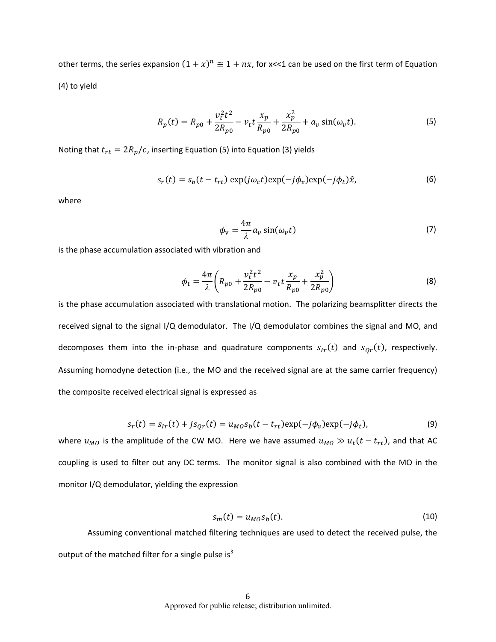other terms, the series expansion  $(1 + x)^n \cong 1 + nx$ , for x<<1 can be used on the first term of Equation (4) to yield

$$
R_p(t) = R_{p0} + \frac{v_t^2 t^2}{2R_{p0}} - v_t t \frac{x_p}{R_{p0}} + \frac{x_p^2}{2R_{p0}} + a_v \sin(\omega_v t).
$$
 (5)

Noting that  $t_{rt} = 2R_p/c$ , inserting Equation (5) into Equation (3) yields

$$
s_r(t) = s_b(t - t_{rt}) \exp(j\omega_c t) \exp(-j\phi_v) \exp(-j\phi_t)\hat{x}, \qquad (6)
$$

where

$$
\phi_{\rm v} = \frac{4\pi}{\lambda} a_{\nu} \sin(\omega_{\nu} t) \tag{7}
$$

is the phase accumulation associated with vibration and

$$
\phi_t = \frac{4\pi}{\lambda} \left( R_{p0} + \frac{v_t^2 t^2}{2R_{p0}} - v_t t \frac{x_p}{R_{p0}} + \frac{x_p^2}{2R_{p0}} \right)
$$
(8)

is the phase accumulation associated with translational motion. The polarizing beamsplitter directs the received signal to the signal I/Q demodulator. The I/Q demodulator combines the signal and MO, and decomposes them into the in-phase and quadrature components  $s_{Ir}(t)$  and  $s_{qr}(t)$ , respectively. Assuming homodyne detection (i.e., the MO and the received signal are at the same carrier frequency) the composite received electrical signal is expressed as

$$
s_r(t) = s_{lr}(t) + js_{Qr}(t) = u_{MO}s_b(t - t_{rt}) \exp(-j\phi_v) \exp(-j\phi_t),
$$
\n(9)

where  $u_{MO}$  is the amplitude of the CW MO. Here we have assumed  $u_{MO} \gg u_t(t-t_{rt})$ , and that AC coupling is used to filter out any DC terms. The monitor signal is also combined with the MO in the monitor I/Q demodulator, yielding the expression

$$
s_m(t) = u_{MO} s_b(t). \tag{10}
$$

Assuming conventional matched filtering techniques are used to detect the received pulse, the output of the matched filter for a single pulse is $^3$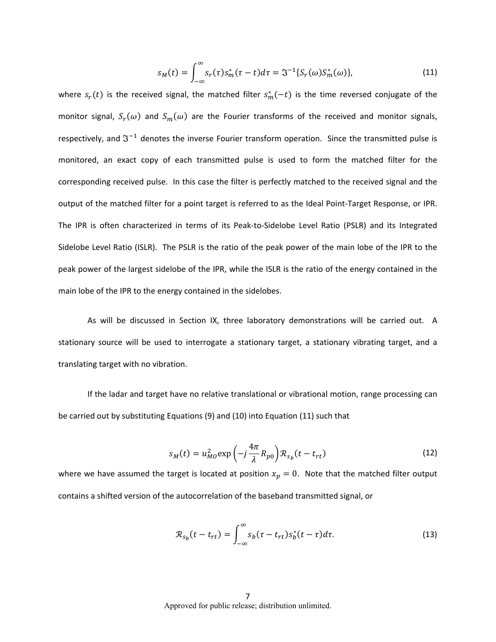$$
s_M(t) = \int_{-\infty}^{\infty} s_r(\tau) s_m^*(\tau - t) d\tau = \mathfrak{J}^{-1} \{ S_r(\omega) S_m^*(\omega) \},
$$
 (11)

where  $s_r(t)$  is the received signal, the matched filter  $s_m^*(-t)$  is the time reversed conjugate of the monitor signal,  $S_r(\omega)$  and  $S_m(\omega)$  are the Fourier transforms of the received and monitor signals, respectively, and  $\mathfrak{I}^{-1}$  denotes the inverse Fourier transform operation. Since the transmitted pulse is monitored, an exact copy of each transmitted pulse is used to form the matched filter for the corresponding received pulse. In this case the filter is perfectly matched to the received signal and the output of the matched filter for a point target is referred to as the Ideal Point‐Target Response, or IPR. The IPR is often characterized in terms of its Peak‐to‐Sidelobe Level Ratio (PSLR) and its Integrated Sidelobe Level Ratio (ISLR). The PSLR is the ratio of the peak power of the main lobe of the IPR to the peak power of the largest sidelobe of the IPR, while the ISLR is the ratio of the energy contained in the main lobe of the IPR to the energy contained in the sidelobes.

As will be discussed in Section IX, three laboratory demonstrations will be carried out. A stationary source will be used to interrogate a stationary target, a stationary vibrating target, and a translating target with no vibration.

If the ladar and target have no relative translational or vibrational motion, range processing can be carried out by substituting Equations (9) and (10) into Equation (11) such that

$$
s_M(t) = u_{MO}^2 \exp\left(-j\frac{4\pi}{\lambda}R_{p0}\right)R_{s_b}(t - t_{rt})
$$
\n(12)

where we have assumed the target is located at position  $x_p = 0$ . Note that the matched filter output contains a shifted version of the autocorrelation of the baseband transmitted signal, or

$$
\mathcal{R}_{s_b}(t - t_{rt}) = \int_{-\infty}^{\infty} s_b(\tau - t_{rt}) s_b^*(t - \tau) d\tau.
$$
 (13)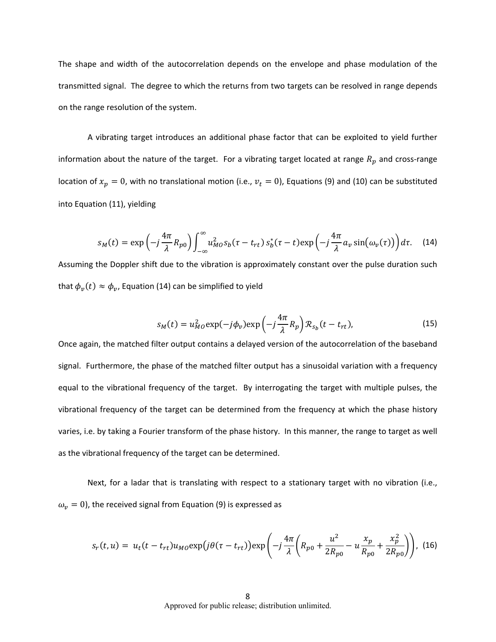The shape and width of the autocorrelation depends on the envelope and phase modulation of the transmitted signal. The degree to which the returns from two targets can be resolved in range depends on the range resolution of the system.

A vibrating target introduces an additional phase factor that can be exploited to yield further information about the nature of the target. For a vibrating target located at range  $R_p$  and cross-range location of  $x_p = 0$ , with no translational motion (i.e.,  $v_t = 0$ ), Equations (9) and (10) can be substituted into Equation (11), yielding

$$
s_M(t) = \exp\left(-j\frac{4\pi}{\lambda}R_{p0}\right)\int_{-\infty}^{\infty} u_{M0}^2 s_b(\tau - t_{rt}) s_b^*(\tau - t) \exp\left(-j\frac{4\pi}{\lambda}a_v\sin(\omega_v(\tau))\right) d\tau.
$$
 (14)

Assuming the Doppler shift due to the vibration is approximately constant over the pulse duration such that  $\phi_v(t) \approx \phi_v$ , Equation (14) can be simplified to yield

$$
s_M(t) = u_{MO}^2 \exp(-j\phi_v) \exp\left(-j\frac{4\pi}{\lambda}R_p\right) \mathcal{R}_{s_b}(t - t_{rt}),\tag{15}
$$

Once again, the matched filter output contains a delayed version of the autocorrelation of the baseband signal. Furthermore, the phase of the matched filter output has a sinusoidal variation with a frequency equal to the vibrational frequency of the target. By interrogating the target with multiple pulses, the vibrational frequency of the target can be determined from the frequency at which the phase history varies, i.e. by taking a Fourier transform of the phase history. In this manner, the range to target as well as the vibrational frequency of the target can be determined.

Next, for a ladar that is translating with respect to a stationary target with no vibration (i.e.,  $\omega_{v} = 0$ ), the received signal from Equation (9) is expressed as

$$
s_r(t, u) = u_t(t - t_{rt})u_{MO}\exp(j\theta(\tau - t_{rt}))\exp\left(-j\frac{4\pi}{\lambda}\left(R_{p0} + \frac{u^2}{2R_{p0}} - u\frac{x_p}{R_{p0}} + \frac{x_p^2}{2R_{p0}}\right)\right),
$$
 (16)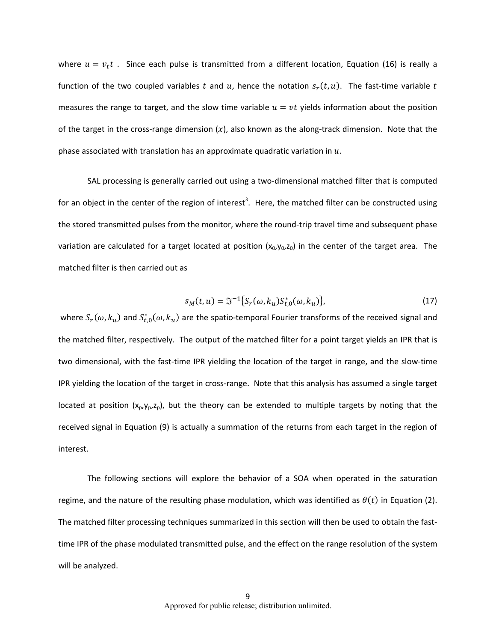where  $u = v_t t$ . Since each pulse is transmitted from a different location, Equation (16) is really a function of the two coupled variables t and u, hence the notation  $s_r(t, u)$ . The fast-time variable t measures the range to target, and the slow time variable  $u = vt$  yields information about the position of the target in the cross-range dimension  $(x)$ , also known as the along-track dimension. Note that the phase associated with translation has an approximate quadratic variation in  $u$ .

SAL processing is generally carried out using a two-dimensional matched filter that is computed for an object in the center of the region of interest<sup>3</sup>. Here, the matched filter can be constructed using the stored transmitted pulses from the monitor, where the round-trip travel time and subsequent phase variation are calculated for a target located at position  $(x_0, y_0, z_0)$  in the center of the target area. The matched filter is then carried out as

$$
s_M(t, u) = \mathfrak{I}^{-1} \{ S_r(\omega, k_u) S_{t,0}^*(\omega, k_u) \},\tag{17}
$$

where  $S_r(\omega,k_u)$  and  $S^*_{t,0}(\omega,k_u)$  are the spatio-temporal Fourier transforms of the received signal and the matched filter, respectively. The output of the matched filter for a point target yields an IPR that is two dimensional, with the fast‐time IPR yielding the location of the target in range, and the slow‐time IPR yielding the location of the target in cross-range. Note that this analysis has assumed a single target located at position  $(x_p,y_p,z_p)$ , but the theory can be extended to multiple targets by noting that the received signal in Equation (9) is actually a summation of the returns from each target in the region of interest.

The following sections will explore the behavior of a SOA when operated in the saturation regime, and the nature of the resulting phase modulation, which was identified as  $\theta(t)$  in Equation (2). The matched filter processing techniques summarized in this section will then be used to obtain the fast‐ time IPR of the phase modulated transmitted pulse, and the effect on the range resolution of the system will be analyzed.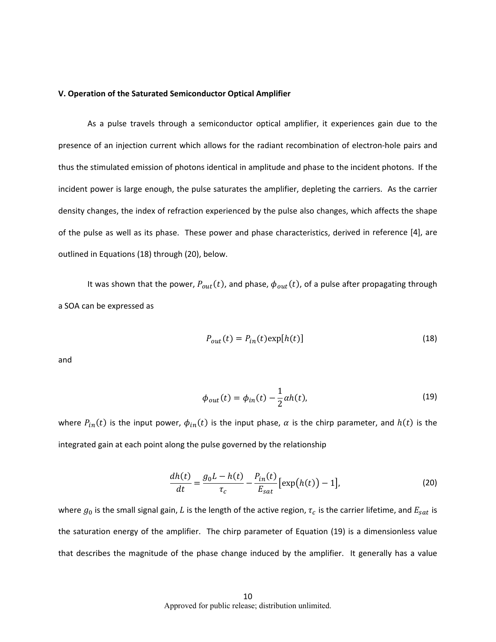#### **V. Operation of the Saturated Semiconductor Optical Amplifier**

As a pulse travels through a semiconductor optical amplifier, it experiences gain due to the presence of an injection current which allows for the radiant recombination of electron‐hole pairs and thus the stimulated emission of photons identical in amplitude and phase to the incident photons. If the incident power is large enough, the pulse saturates the amplifier, depleting the carriers. As the carrier density changes, the index of refraction experienced by the pulse also changes, which affects the shape of the pulse as well as its phase. These power and phase characteristics, derived in reference [4], are outlined in Equations (18) through (20), below.

It was shown that the power,  $P_{out}(t)$ , and phase,  $\phi_{out}(t)$ , of a pulse after propagating through a SOA can be expressed as

$$
P_{out}(t) = P_{in}(t) \exp[h(t)] \tag{18}
$$

and

$$
\phi_{out}(t) = \phi_{in}(t) - \frac{1}{2}\alpha h(t),\tag{19}
$$

where  $P_{in}(t)$  is the input power,  $\phi_{in}(t)$  is the input phase,  $\alpha$  is the chirp parameter, and  $h(t)$  is the integrated gain at each point along the pulse governed by the relationship

$$
\frac{dh(t)}{dt} = \frac{g_0 L - h(t)}{\tau_c} - \frac{P_{in}(t)}{E_{sat}} [\exp(h(t)) - 1],
$$
\n(20)

where  $g_0$  is the small signal gain, L is the length of the active region,  $\tau_c$  is the carrier lifetime, and  $E_{sat}$  is the saturation energy of the amplifier. The chirp parameter of Equation (19) is a dimensionless value that describes the magnitude of the phase change induced by the amplifier. It generally has a value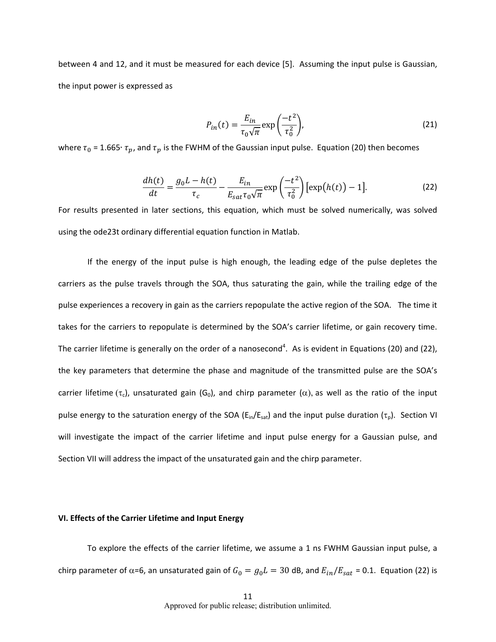between 4 and 12, and it must be measured for each device [5]. Assuming the input pulse is Gaussian, the input power is expressed as

$$
P_{in}(t) = \frac{E_{in}}{\tau_0 \sqrt{\pi}} \exp\left(\frac{-t^2}{\tau_0^2}\right),\tag{21}
$$

where  $\tau_0$  = 1.665 $\cdot$   $\tau_p$ , and  $\tau_p$  is the FWHM of the Gaussian input pulse. Equation (20) then becomes

$$
\frac{dh(t)}{dt} = \frac{g_0 L - h(t)}{\tau_c} - \frac{E_{in}}{E_{sat}\tau_0\sqrt{\pi}} \exp\left(\frac{-t^2}{\tau_0^2}\right) \left[\exp\left(h(t)\right) - 1\right].\tag{22}
$$

For results presented in later sections, this equation, which must be solved numerically, was solved using the ode23t ordinary differential equation function in Matlab.

If the energy of the input pulse is high enough, the leading edge of the pulse depletes the carriers as the pulse travels through the SOA, thus saturating the gain, while the trailing edge of the pulse experiences a recovery in gain as the carriers repopulate the active region of the SOA. The time it takes for the carriers to repopulate is determined by the SOA's carrier lifetime, or gain recovery time. The carrier lifetime is generally on the order of a nanosecond<sup>4</sup>. As is evident in Equations (20) and (22), the key parameters that determine the phase and magnitude of the transmitted pulse are the SOA's carrier lifetime ( $\tau_c$ ), unsaturated gain (G<sub>0</sub>), and chirp parameter ( $\alpha$ ), as well as the ratio of the input pulse energy to the saturation energy of the SOA ( $E_{in}/E_{sat}$ ) and the input pulse duration ( $\tau_p$ ). Section VI will investigate the impact of the carrier lifetime and input pulse energy for a Gaussian pulse, and Section VII will address the impact of the unsaturated gain and the chirp parameter.

#### **VI. Effects of the Carrier Lifetime and Input Energy**

To explore the effects of the carrier lifetime, we assume a 1 ns FWHM Gaussian input pulse, a chirp parameter of  $\alpha$ =6, an unsaturated gain of  $G_0 = g_0 L = 30$  dB, and  $E_{in}/E_{sat}$  = 0.1. Equation (22) is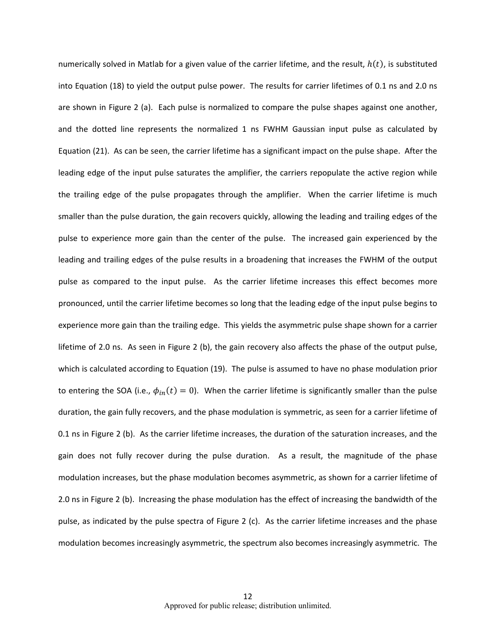numerically solved in Matlab for a given value of the carrier lifetime, and the result,  $h(t)$ , is substituted into Equation (18) to yield the output pulse power. The results for carrier lifetimes of 0.1 ns and 2.0 ns are shown in Figure 2 (a). Each pulse is normalized to compare the pulse shapes against one another, and the dotted line represents the normalized 1 ns FWHM Gaussian input pulse as calculated by Equation (21). As can be seen, the carrier lifetime has a significant impact on the pulse shape. After the leading edge of the input pulse saturates the amplifier, the carriers repopulate the active region while the trailing edge of the pulse propagates through the amplifier. When the carrier lifetime is much smaller than the pulse duration, the gain recovers quickly, allowing the leading and trailing edges of the pulse to experience more gain than the center of the pulse. The increased gain experienced by the leading and trailing edges of the pulse results in a broadening that increases the FWHM of the output pulse as compared to the input pulse. As the carrier lifetime increases this effect becomes more pronounced, until the carrier lifetime becomes so long that the leading edge of the input pulse begins to experience more gain than the trailing edge. This yields the asymmetric pulse shape shown for a carrier lifetime of 2.0 ns. As seen in Figure 2 (b), the gain recovery also affects the phase of the output pulse, which is calculated according to Equation (19). The pulse is assumed to have no phase modulation prior to entering the SOA (i.e.,  $\phi_{in}(t) = 0$ ). When the carrier lifetime is significantly smaller than the pulse duration, the gain fully recovers, and the phase modulation is symmetric, as seen for a carrier lifetime of 0.1 ns in Figure 2 (b). As the carrier lifetime increases, the duration of the saturation increases, and the gain does not fully recover during the pulse duration. As a result, the magnitude of the phase modulation increases, but the phase modulation becomes asymmetric, as shown for a carrier lifetime of 2.0 ns in Figure 2 (b). Increasing the phase modulation has the effect of increasing the bandwidth of the pulse, as indicated by the pulse spectra of Figure 2 (c). As the carrier lifetime increases and the phase modulation becomes increasingly asymmetric, the spectrum also becomes increasingly asymmetric. The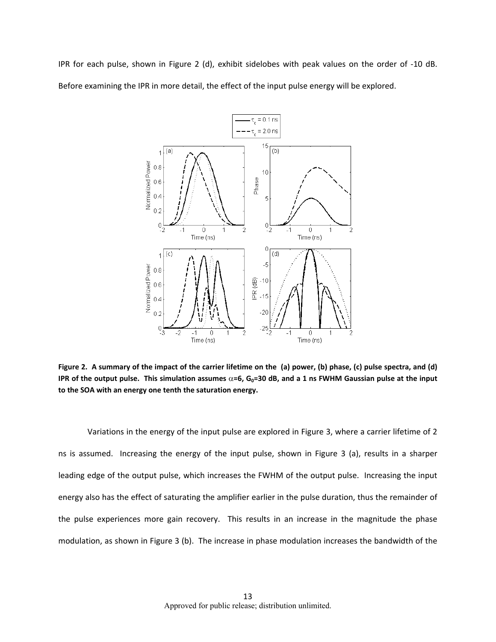IPR for each pulse, shown in Figure 2 (d), exhibit sidelobes with peak values on the order of ‐10 dB. Before examining the IPR in more detail, the effect of the input pulse energy will be explored.



Figure 2. A summary of the impact of the carrier lifetime on the (a) power, (b) phase, (c) pulse spectra, and (d) IPR of the output pulse. This simulation assumes  $\alpha$ =6, G<sub>0</sub>=30 dB, and a 1 ns FWHM Gaussian pulse at the input **to the SOA with an energy one tenth the saturation energy.**

Variations in the energy of the input pulse are explored in Figure 3, where a carrier lifetime of 2 ns is assumed. Increasing the energy of the input pulse, shown in Figure 3 (a), results in a sharper leading edge of the output pulse, which increases the FWHM of the output pulse. Increasing the input energy also has the effect of saturating the amplifier earlier in the pulse duration, thus the remainder of the pulse experiences more gain recovery. This results in an increase in the magnitude the phase modulation, as shown in Figure 3 (b). The increase in phase modulation increases the bandwidth of the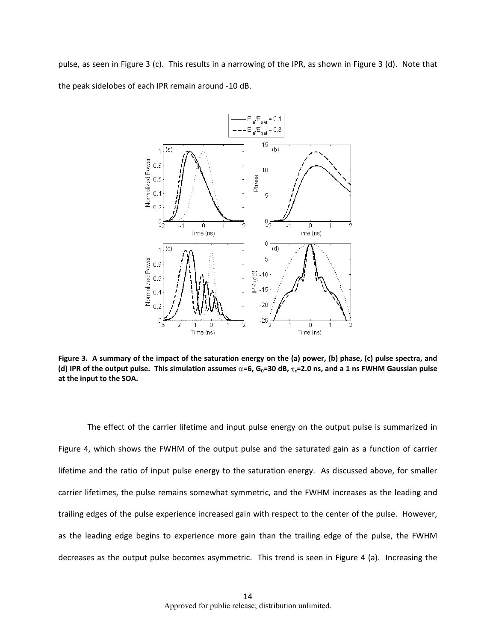pulse, as seen in Figure 3 (c). This results in a narrowing of the IPR, as shown in Figure 3 (d). Note that the peak sidelobes of each IPR remain around ‐10 dB.



Figure 3. A summary of the impact of the saturation energy on the (a) power, (b) phase, (c) pulse spectra, and (d) IPR of the output pulse. This simulation assumes  $\alpha$ =6, G<sub>0</sub>=30 dB,  $\tau_c$ =2.0 ns, and a 1 ns FWHM Gaussian pulse **at the input to the SOA.**

The effect of the carrier lifetime and input pulse energy on the output pulse is summarized in Figure 4, which shows the FWHM of the output pulse and the saturated gain as a function of carrier lifetime and the ratio of input pulse energy to the saturation energy. As discussed above, for smaller carrier lifetimes, the pulse remains somewhat symmetric, and the FWHM increases as the leading and trailing edges of the pulse experience increased gain with respect to the center of the pulse. However, as the leading edge begins to experience more gain than the trailing edge of the pulse, the FWHM decreases as the output pulse becomes asymmetric. This trend is seen in Figure 4 (a). Increasing the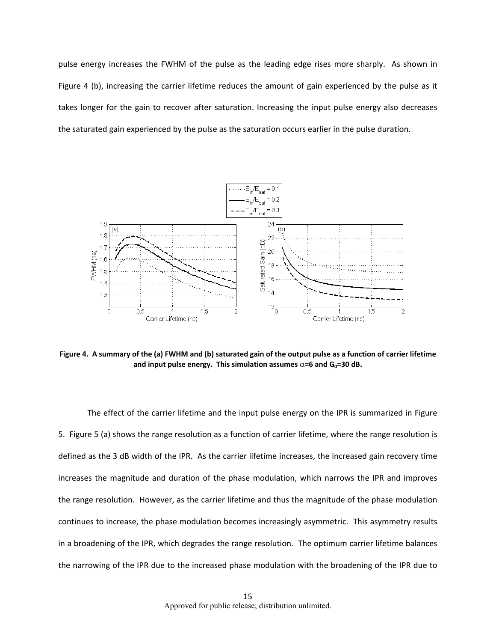pulse energy increases the FWHM of the pulse as the leading edge rises more sharply. As shown in Figure 4 (b), increasing the carrier lifetime reduces the amount of gain experienced by the pulse as it takes longer for the gain to recover after saturation. Increasing the input pulse energy also decreases the saturated gain experienced by the pulse as the saturation occurs earlier in the pulse duration.



Figure 4. A summary of the (a) FWHM and (b) saturated gain of the output pulse as a function of carrier lifetime **and input** pulse energy. This simulation assumes  $\alpha$ =6 and  $G_0$ =30 dB.

The effect of the carrier lifetime and the input pulse energy on the IPR is summarized in Figure 5. Figure 5 (a) shows the range resolution as a function of carrier lifetime, where the range resolution is defined as the 3 dB width of the IPR. As the carrier lifetime increases, the increased gain recovery time increases the magnitude and duration of the phase modulation, which narrows the IPR and improves the range resolution. However, as the carrier lifetime and thus the magnitude of the phase modulation continues to increase, the phase modulation becomes increasingly asymmetric. This asymmetry results in a broadening of the IPR, which degrades the range resolution. The optimum carrier lifetime balances the narrowing of the IPR due to the increased phase modulation with the broadening of the IPR due to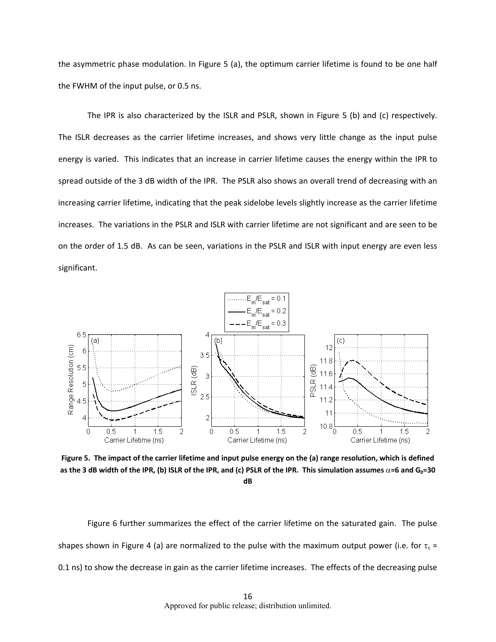the asymmetric phase modulation. In Figure 5 (a), the optimum carrier lifetime is found to be one half the FWHM of the input pulse, or 0.5 ns.

The IPR is also characterized by the ISLR and PSLR, shown in Figure 5 (b) and (c) respectively. The ISLR decreases as the carrier lifetime increases, and shows very little change as the input pulse energy is varied. This indicates that an increase in carrier lifetime causes the energy within the IPR to spread outside of the 3 dB width of the IPR. The PSLR also shows an overall trend of decreasing with an increasing carrier lifetime, indicating that the peak sidelobe levels slightly increase as the carrier lifetime increases. The variations in the PSLR and ISLR with carrier lifetime are not significant and are seen to be on the order of 1.5 dB. As can be seen, variations in the PSLR and ISLR with input energy are even less significant.



Figure 5. The impact of the carrier lifetime and input pulse energy on the (a) range resolution, which is defined as the 3 dB width of the IPR, (b) ISLR of the IPR, and (c) PSLR of the IPR. This simulation assumes  $\alpha$ =6 and G<sub>0</sub>=30 **dB**

Figure 6 further summarizes the effect of the carrier lifetime on the saturated gain. The pulse shapes shown in Figure 4 (a) are normalized to the pulse with the maximum output power (i.e. for  $\tau_c$  = 0.1 ns) to show the decrease in gain as the carrier lifetime increases. The effects of the decreasing pulse

> 16 Approved for public release; distribution unlimited.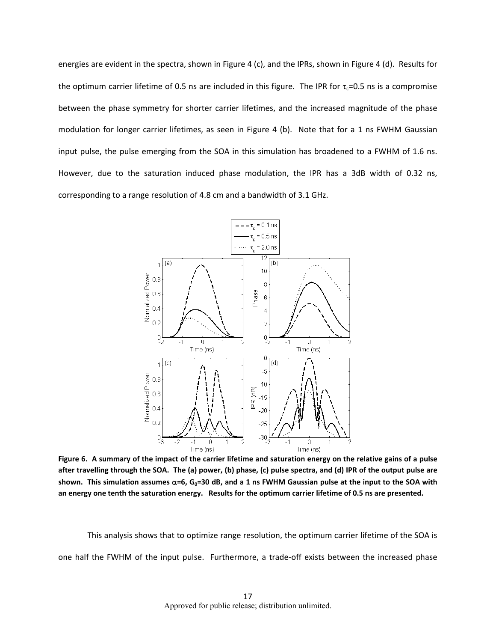energies are evident in the spectra, shown in Figure 4 (c), and the IPRs, shown in Figure 4 (d). Results for the optimum carrier lifetime of 0.5 ns are included in this figure. The IPR for  $\tau_c$ =0.5 ns is a compromise between the phase symmetry for shorter carrier lifetimes, and the increased magnitude of the phase modulation for longer carrier lifetimes, as seen in Figure 4 (b). Note that for a 1 ns FWHM Gaussian input pulse, the pulse emerging from the SOA in this simulation has broadened to a FWHM of 1.6 ns. However, due to the saturation induced phase modulation, the IPR has a 3dB width of 0.32 ns, corresponding to a range resolution of 4.8 cm and a bandwidth of 3.1 GHz.



Figure 6. A summary of the impact of the carrier lifetime and saturation energy on the relative gains of a pulse after travelling through the SOA. The (a) power, (b) phase, (c) pulse spectra, and (d) IPR of the output pulse are shown. This simulation assumes  $\alpha$ =6, G<sub>0</sub>=30 dB, and a 1 ns FWHM Gaussian pulse at the input to the SOA with an energy one tenth the saturation energy. Results for the optimum carrier lifetime of 0.5 ns are presented.

This analysis shows that to optimize range resolution, the optimum carrier lifetime of the SOA is one half the FWHM of the input pulse. Furthermore, a trade‐off exists between the increased phase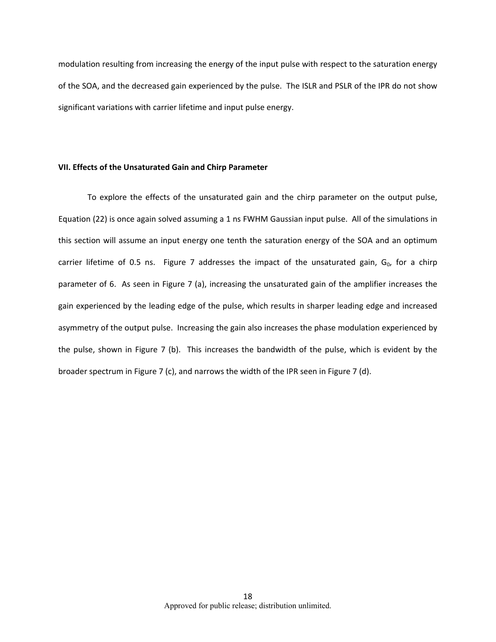modulation resulting from increasing the energy of the input pulse with respect to the saturation energy of the SOA, and the decreased gain experienced by the pulse. The ISLR and PSLR of the IPR do not show significant variations with carrier lifetime and input pulse energy.

#### **VII. Effects of the Unsaturated Gain and Chirp Parameter**

To explore the effects of the unsaturated gain and the chirp parameter on the output pulse, Equation (22) is once again solved assuming a 1 ns FWHM Gaussian input pulse. All of the simulations in this section will assume an input energy one tenth the saturation energy of the SOA and an optimum carrier lifetime of 0.5 ns. Figure 7 addresses the impact of the unsaturated gain,  $G_0$ , for a chirp parameter of 6. As seen in Figure 7 (a), increasing the unsaturated gain of the amplifier increases the gain experienced by the leading edge of the pulse, which results in sharper leading edge and increased asymmetry of the output pulse. Increasing the gain also increases the phase modulation experienced by the pulse, shown in Figure 7 (b). This increases the bandwidth of the pulse, which is evident by the broader spectrum in Figure 7 (c), and narrows the width of the IPR seen in Figure 7 (d).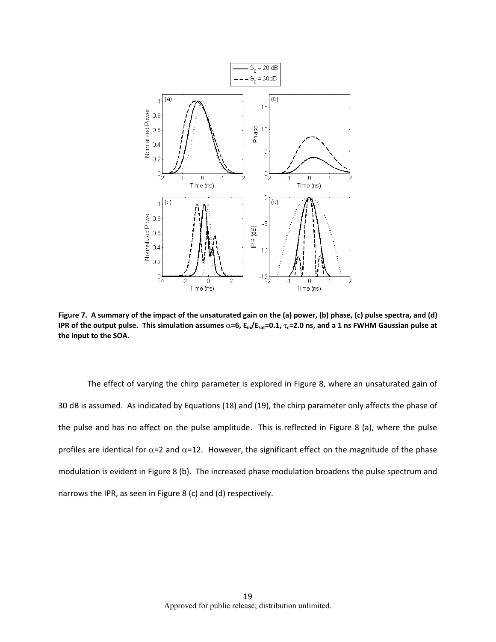

Figure 7. A summary of the impact of the unsaturated gain on the (a) power, (b) phase, (c) pulse spectra, and (d) IPR of the output pulse. This simulation assumes  $\alpha$ =6, E<sub>in</sub>/E<sub>sat</sub>=0.1,  $\tau_c$ =2.0 ns, and a 1 ns FWHM Gaussian pulse at **the input to the SOA.**

The effect of varying the chirp parameter is explored in Figure 8, where an unsaturated gain of 30 dB is assumed. As indicated by Equations (18) and (19), the chirp parameter only affects the phase of the pulse and has no affect on the pulse amplitude. This is reflected in Figure 8 (a), where the pulse profiles are identical for  $\alpha$ =2 and  $\alpha$ =12. However, the significant effect on the magnitude of the phase modulation is evident in Figure 8 (b). The increased phase modulation broadens the pulse spectrum and narrows the IPR, as seen in Figure 8 (c) and (d) respectively.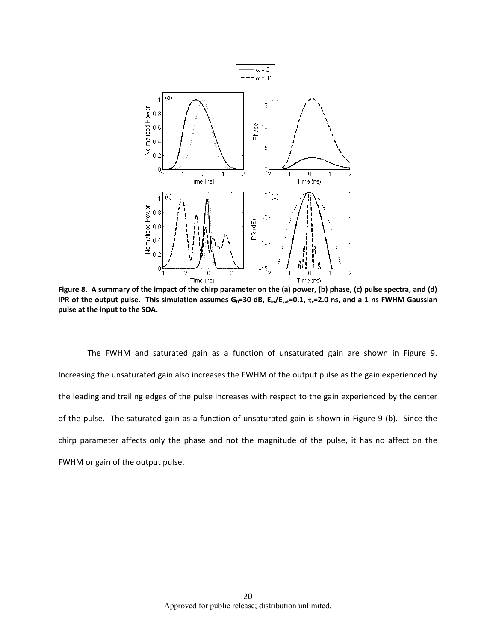

Figure 8. A summary of the impact of the chirp parameter on the (a) power, (b) phase, (c) pulse spectra, and (d) IPR of the output pulse. This simulation assumes  $G_0$ =30 dB,  $E_{in}/E_{sat}$ =0.1,  $\tau_c$ =2.0 ns, and a 1 ns FWHM Gaussian **pulse at the input to the SOA.**

The FWHM and saturated gain as a function of unsaturated gain are shown in Figure 9. Increasing the unsaturated gain also increases the FWHM of the output pulse as the gain experienced by the leading and trailing edges of the pulse increases with respect to the gain experienced by the center of the pulse. The saturated gain as a function of unsaturated gain is shown in Figure 9 (b). Since the chirp parameter affects only the phase and not the magnitude of the pulse, it has no affect on the FWHM or gain of the output pulse.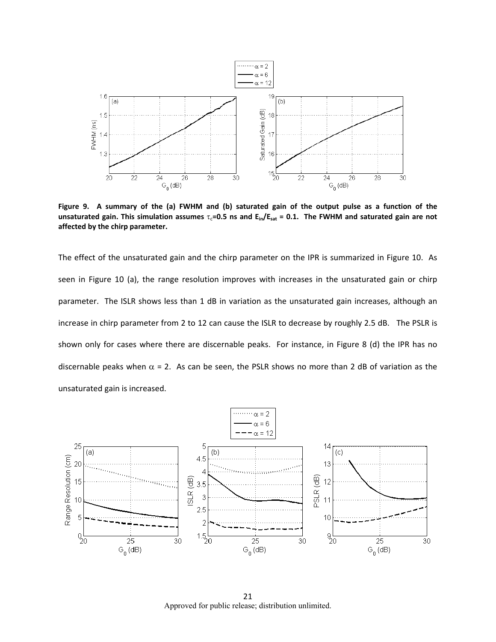

Figure 9. A summary of the (a) FWHM and (b) saturated gain of the output pulse as a function of the unsaturated gain. This simulation assumes  $\tau_c$ =0.5 ns and  $E_{in}/E_{sat}$  = 0.1. The FWHM and saturated gain are not **affected by the chirp parameter.**

The effect of the unsaturated gain and the chirp parameter on the IPR is summarized in Figure 10. As seen in Figure 10 (a), the range resolution improves with increases in the unsaturated gain or chirp parameter. The ISLR shows less than 1 dB in variation as the unsaturated gain increases, although an increase in chirp parameter from 2 to 12 can cause the ISLR to decrease by roughly 2.5 dB. The PSLR is shown only for cases where there are discernable peaks. For instance, in Figure 8 (d) the IPR has no discernable peaks when  $\alpha$  = 2. As can be seen, the PSLR shows no more than 2 dB of variation as the unsaturated gain is increased.



21 Approved for public release; distribution unlimited.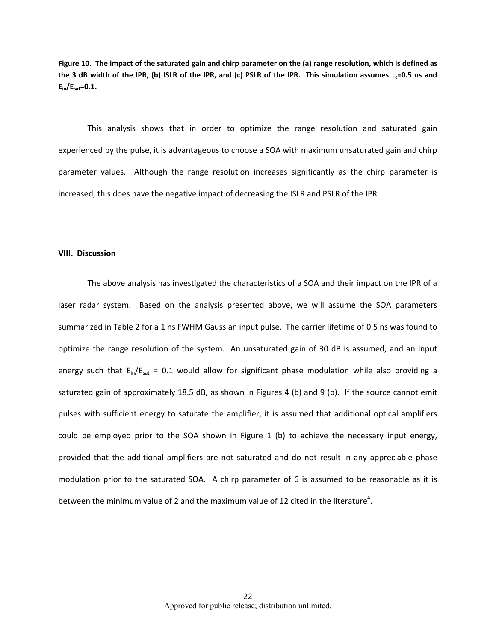Figure 10. The impact of the saturated gain and chirp parameter on the (a) range resolution, which is defined as the 3 dB width of the IPR, (b) ISLR of the IPR, and (c) PSLR of the IPR. This simulation assumes  $\tau_c$ =0.5 ns and **Ein/Esat=0.1.**

This analysis shows that in order to optimize the range resolution and saturated gain experienced by the pulse, it is advantageous to choose a SOA with maximum unsaturated gain and chirp parameter values. Although the range resolution increases significantly as the chirp parameter is increased, this does have the negative impact of decreasing the ISLR and PSLR of the IPR.

#### **VIII. Discussion**

The above analysis has investigated the characteristics of a SOA and their impact on the IPR of a laser radar system. Based on the analysis presented above, we will assume the SOA parameters summarized in Table 2 for a 1 ns FWHM Gaussian input pulse. The carrier lifetime of 0.5 ns was found to optimize the range resolution of the system. An unsaturated gain of 30 dB is assumed, and an input energy such that  $E_{\text{in}}/E_{\text{sat}} = 0.1$  would allow for significant phase modulation while also providing a saturated gain of approximately 18.5 dB, as shown in Figures 4 (b) and 9 (b). If the source cannot emit pulses with sufficient energy to saturate the amplifier, it is assumed that additional optical amplifiers could be employed prior to the SOA shown in Figure 1 (b) to achieve the necessary input energy, provided that the additional amplifiers are not saturated and do not result in any appreciable phase modulation prior to the saturated SOA. A chirp parameter of 6 is assumed to be reasonable as it is between the minimum value of 2 and the maximum value of 12 cited in the literature<sup>4</sup>.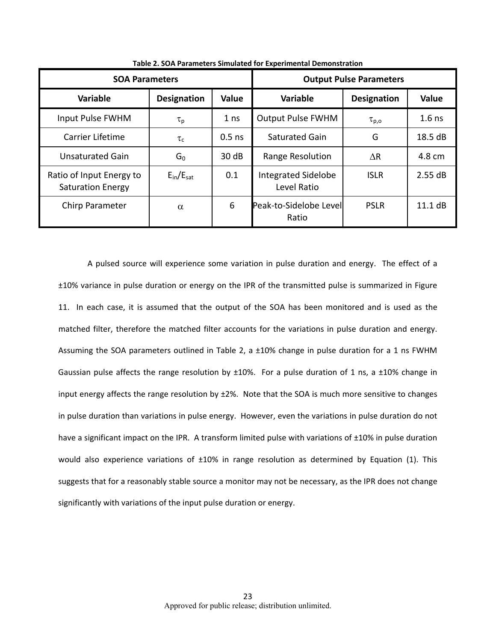| <b>SOA Parameters</b>                                |                                | <b>Output Pulse Parameters</b> |                                    |                    |          |
|------------------------------------------------------|--------------------------------|--------------------------------|------------------------------------|--------------------|----------|
| <b>Variable</b>                                      | <b>Designation</b>             | <b>Value</b>                   | <b>Variable</b>                    | <b>Designation</b> | Value    |
| Input Pulse FWHM                                     | $\tau_{\text{p}}$              | 1 <sub>ns</sub>                | <b>Output Pulse FWHM</b>           | $\tau_{p,o}$       | $1.6$ ns |
| <b>Carrier Lifetime</b>                              | $\tau_c$                       | $0.5$ ns                       | Saturated Gain                     | G                  | 18.5 dB  |
| <b>Unsaturated Gain</b>                              | $G_0$                          | 30 dB                          | Range Resolution                   | ΛR                 | 4.8 cm   |
| Ratio of Input Energy to<br><b>Saturation Energy</b> | $E_{\text{in}}/E_{\text{sat}}$ | 0.1                            | Integrated Sidelobe<br>Level Ratio | <b>ISLR</b>        | 2.55 dB  |
| Chirp Parameter                                      | $\alpha$                       | 6                              | Peak-to-Sidelobe Levell<br>Ratio   | <b>PSLR</b>        | 11.1 dB  |

**Table 2. SOA Parameters Simulated for Experimental Demonstration**

A pulsed source will experience some variation in pulse duration and energy. The effect of a ±10% variance in pulse duration or energy on the IPR of the transmitted pulse is summarized in Figure 11. In each case, it is assumed that the output of the SOA has been monitored and is used as the matched filter, therefore the matched filter accounts for the variations in pulse duration and energy. Assuming the SOA parameters outlined in Table 2, a ±10% change in pulse duration for a 1 ns FWHM Gaussian pulse affects the range resolution by  $\pm 10\%$ . For a pulse duration of 1 ns, a  $\pm 10\%$  change in input energy affects the range resolution by  $\pm 2\%$ . Note that the SOA is much more sensitive to changes in pulse duration than variations in pulse energy. However, even the variations in pulse duration do not have a significant impact on the IPR. A transform limited pulse with variations of ±10% in pulse duration would also experience variations of ±10% in range resolution as determined by Equation (1). This suggests that for a reasonably stable source a monitor may not be necessary, as the IPR does not change significantly with variations of the input pulse duration or energy.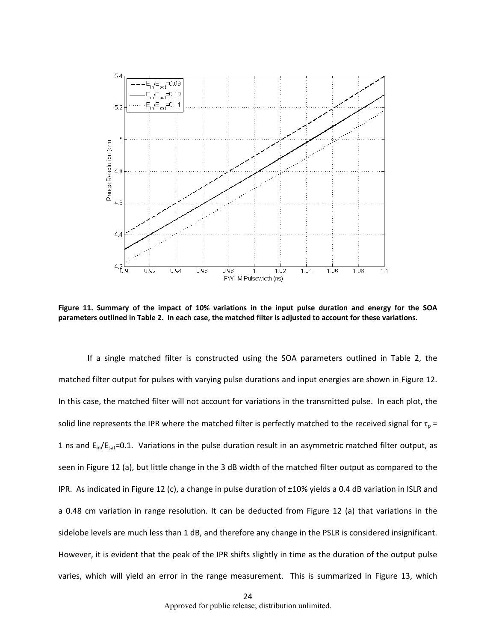

Figure 11. Summary of the impact of 10% variations in the input pulse duration and energy for the SOA parameters outlined in Table 2. In each case, the matched filter is adjusted to account for these variations.

If a single matched filter is constructed using the SOA parameters outlined in Table 2, the matched filter output for pulses with varying pulse durations and input energies are shown in Figure 12. In this case, the matched filter will not account for variations in the transmitted pulse. In each plot, the solid line represents the IPR where the matched filter is perfectly matched to the received signal for  $\tau_0$  = 1 ns and  $E_{in}/E_{sat}=0.1$ . Variations in the pulse duration result in an asymmetric matched filter output, as seen in Figure 12 (a), but little change in the 3 dB width of the matched filter output as compared to the IPR. As indicated in Figure 12 (c), a change in pulse duration of ±10% yields a 0.4 dB variation in ISLR and a 0.48 cm variation in range resolution. It can be deducted from Figure 12 (a) that variations in the sidelobe levels are much less than 1 dB, and therefore any change in the PSLR is considered insignificant. However, it is evident that the peak of the IPR shifts slightly in time as the duration of the output pulse varies, which will yield an error in the range measurement. This is summarized in Figure 13, which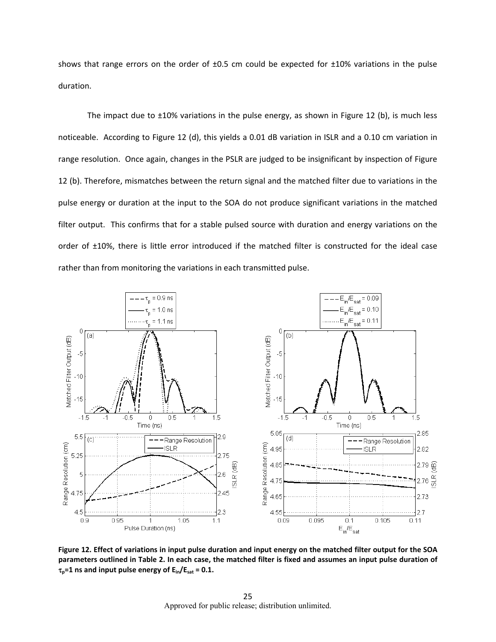shows that range errors on the order of  $\pm 0.5$  cm could be expected for  $\pm 10\%$  variations in the pulse duration.

The impact due to  $\pm 10\%$  variations in the pulse energy, as shown in Figure 12 (b), is much less noticeable. According to Figure 12 (d), this yields a 0.01 dB variation in ISLR and a 0.10 cm variation in range resolution. Once again, changes in the PSLR are judged to be insignificant by inspection of Figure 12 (b). Therefore, mismatches between the return signal and the matched filter due to variations in the pulse energy or duration at the input to the SOA do not produce significant variations in the matched filter output. This confirms that for a stable pulsed source with duration and energy variations on the order of ±10%, there is little error introduced if the matched filter is constructed for the ideal case rather than from monitoring the variations in each transmitted pulse.



Figure 12. Effect of variations in input pulse duration and input energy on the matched filter output for the SOA parameters outlined in Table 2. In each case, the matched filter is fixed and assumes an input pulse duration of  $\tau_p$ =1 **ns** and **input** pulse energy of  $E_{in}/E_{sat}$  = 0.1.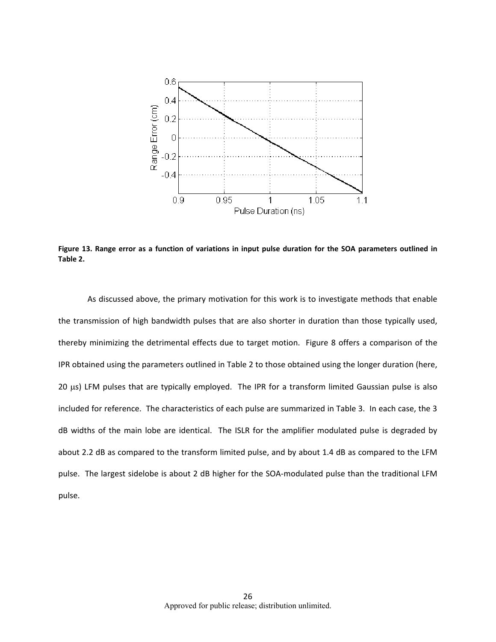

Figure 13. Range error as a function of variations in input pulse duration for the SOA parameters outlined in **Table 2.**

As discussed above, the primary motivation for this work is to investigate methods that enable the transmission of high bandwidth pulses that are also shorter in duration than those typically used, thereby minimizing the detrimental effects due to target motion. Figure 8 offers a comparison of the IPR obtained using the parameters outlined in Table 2 to those obtained using the longer duration (here,  $20 \mu s$ ) LFM pulses that are typically employed. The IPR for a transform limited Gaussian pulse is also included for reference. The characteristics of each pulse are summarized in Table 3. In each case, the 3 dB widths of the main lobe are identical. The ISLR for the amplifier modulated pulse is degraded by about 2.2 dB as compared to the transform limited pulse, and by about 1.4 dB as compared to the LFM pulse. The largest sidelobe is about 2 dB higher for the SOA‐modulated pulse than the traditional LFM pulse.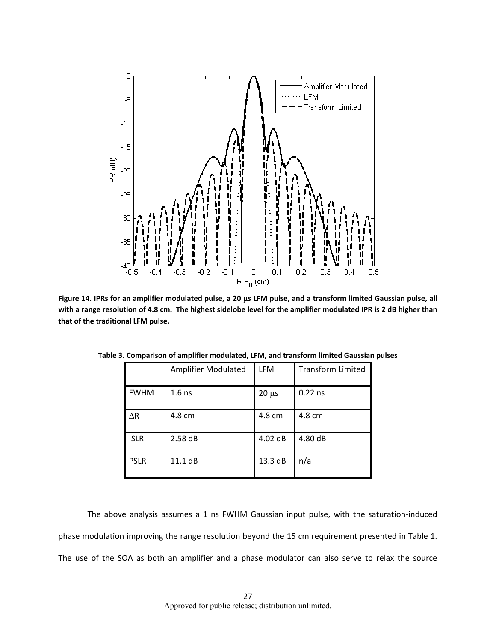

Figure 14. IPRs for an amplifier modulated pulse, a 20 µs LFM pulse, and a transform limited Gaussian pulse, all with a range resolution of 4.8 cm. The highest sidelobe level for the amplifier modulated IPR is 2 dB higher than **that of the traditional LFM pulse.** 

|             | <b>Amplifier Modulated</b> | <b>LFM</b> | <b>Transform Limited</b> |
|-------------|----------------------------|------------|--------------------------|
| <b>FWHM</b> | $1.6$ ns                   | $20 \mu s$ | $0.22$ ns                |
| $\Delta$ R  | 4.8 cm                     | 4.8 cm     | 4.8 cm                   |
| <b>ISLR</b> | 2.58dB                     | $4.02$ dB  | 4.80 dB                  |
| <b>PSLR</b> | 11.1 dB                    | 13.3 dB    | n/a                      |

**Table 3. Comparison of amplifier modulated, LFM, and transform limited Gaussian pulses**

The above analysis assumes a 1 ns FWHM Gaussian input pulse, with the saturation‐induced phase modulation improving the range resolution beyond the 15 cm requirement presented in Table 1. The use of the SOA as both an amplifier and a phase modulator can also serve to relax the source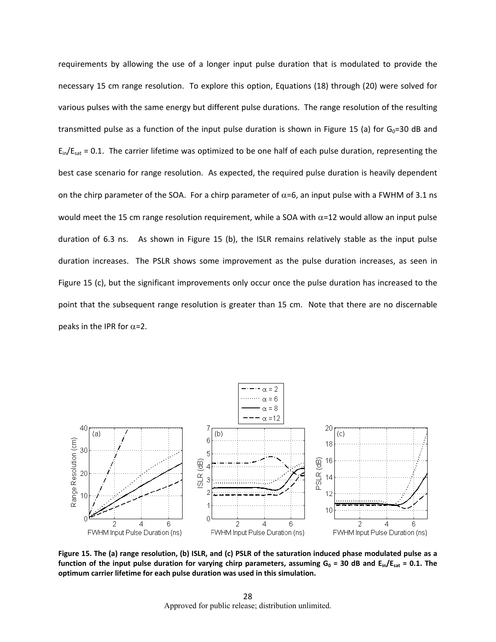requirements by allowing the use of a longer input pulse duration that is modulated to provide the necessary 15 cm range resolution. To explore this option, Equations (18) through (20) were solved for various pulses with the same energy but different pulse durations. The range resolution of the resulting transmitted pulse as a function of the input pulse duration is shown in Figure 15 (a) for  $G_0=30$  dB and  $E_{in}/E_{sat}$  = 0.1. The carrier lifetime was optimized to be one half of each pulse duration, representing the best case scenario for range resolution. As expected, the required pulse duration is heavily dependent on the chirp parameter of the SOA. For a chirp parameter of  $\alpha$ =6, an input pulse with a FWHM of 3.1 ns would meet the 15 cm range resolution requirement, while a SOA with  $\alpha$ =12 would allow an input pulse duration of 6.3 ns. As shown in Figure 15 (b), the ISLR remains relatively stable as the input pulse duration increases. The PSLR shows some improvement as the pulse duration increases, as seen in Figure 15 (c), but the significant improvements only occur once the pulse duration has increased to the point that the subsequent range resolution is greater than 15 cm. Note that there are no discernable peaks in the IPR for  $\alpha$ =2.



Figure 15. The (a) range resolution, (b) ISLR, and (c) PSLR of the saturation induced phase modulated pulse as a function of the input pulse duration for varying chirp parameters, assuming  $G_0 = 30$  dB and  $E_{in}/E_{sat} = 0.1$ . The **optimum carrier lifetime for each pulse duration was used in this simulation.**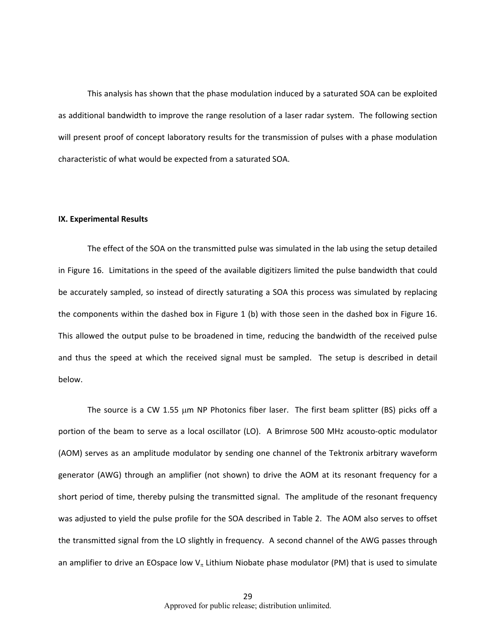This analysis has shown that the phase modulation induced by a saturated SOA can be exploited as additional bandwidth to improve the range resolution of a laser radar system. The following section will present proof of concept laboratory results for the transmission of pulses with a phase modulation characteristic of what would be expected from a saturated SOA.

#### **IX. Experimental Results**

The effect of the SOA on the transmitted pulse was simulated in the lab using the setup detailed in Figure 16. Limitations in the speed of the available digitizers limited the pulse bandwidth that could be accurately sampled, so instead of directly saturating a SOA this process was simulated by replacing the components within the dashed box in Figure 1 (b) with those seen in the dashed box in Figure 16. This allowed the output pulse to be broadened in time, reducing the bandwidth of the received pulse and thus the speed at which the received signal must be sampled. The setup is described in detail below.

The source is a CW 1.55  $\mu$ m NP Photonics fiber laser. The first beam splitter (BS) picks off a portion of the beam to serve as a local oscillator (LO). A Brimrose 500 MHz acousto‐optic modulator (AOM) serves as an amplitude modulator by sending one channel of the Tektronix arbitrary waveform generator (AWG) through an amplifier (not shown) to drive the AOM at its resonant frequency for a short period of time, thereby pulsing the transmitted signal. The amplitude of the resonant frequency was adjusted to yield the pulse profile for the SOA described in Table 2. The AOM also serves to offset the transmitted signal from the LO slightly in frequency. A second channel of the AWG passes through an amplifier to drive an EOspace low  $V_\pi$  Lithium Niobate phase modulator (PM) that is used to simulate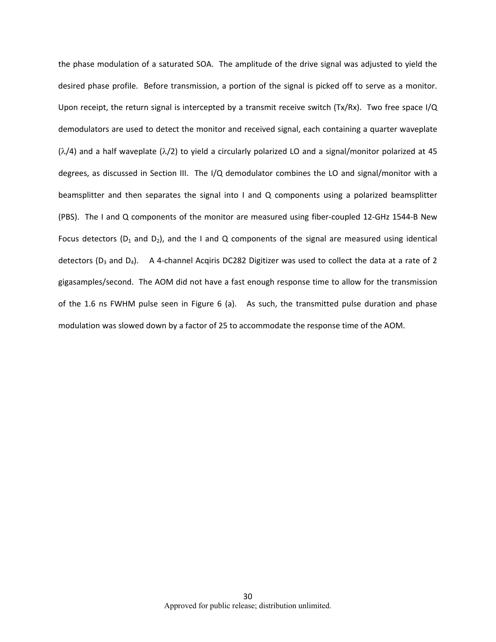the phase modulation of a saturated SOA. The amplitude of the drive signal was adjusted to yield the desired phase profile. Before transmission, a portion of the signal is picked off to serve as a monitor. Upon receipt, the return signal is intercepted by a transmit receive switch (Tx/Rx). Two free space I/Q demodulators are used to detect the monitor and received signal, each containing a quarter waveplate  $(\lambda/4)$  and a half waveplate  $(\lambda/2)$  to yield a circularly polarized LO and a signal/monitor polarized at 45 degrees, as discussed in Section III. The I/Q demodulator combines the LO and signal/monitor with a beamsplitter and then separates the signal into I and Q components using a polarized beamsplitter (PBS). The I and Q components of the monitor are measured using fiber‐coupled 12‐GHz 1544‐B New Focus detectors ( $D_1$  and  $D_2$ ), and the I and Q components of the signal are measured using identical detectors ( $D_3$  and  $D_4$ ). A 4-channel Acqiris DC282 Digitizer was used to collect the data at a rate of 2 gigasamples/second. The AOM did not have a fast enough response time to allow for the transmission of the 1.6 ns FWHM pulse seen in Figure 6 (a). As such, the transmitted pulse duration and phase modulation was slowed down by a factor of 25 to accommodate the response time of the AOM.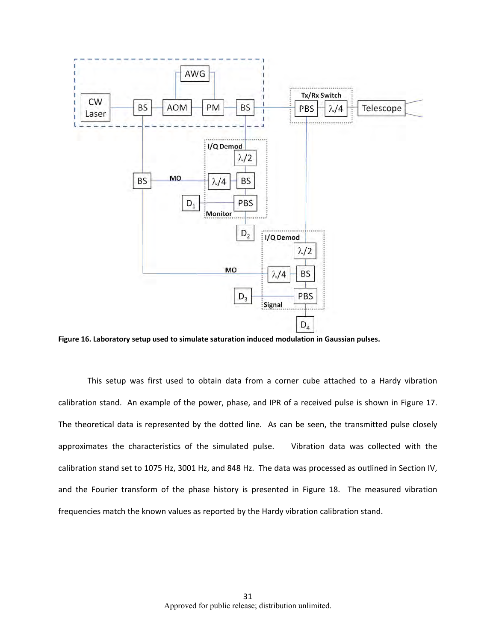

**Figure 16. Laboratory setup used to simulate saturation induced modulation in Gaussian pulses.** 

This setup was first used to obtain data from a corner cube attached to a Hardy vibration calibration stand. An example of the power, phase, and IPR of a received pulse is shown in Figure 17. The theoretical data is represented by the dotted line. As can be seen, the transmitted pulse closely approximates the characteristics of the simulated pulse. Vibration data was collected with the calibration stand set to 1075 Hz, 3001 Hz, and 848 Hz. The data was processed as outlined in Section IV, and the Fourier transform of the phase history is presented in Figure 18. The measured vibration frequencies match the known values as reported by the Hardy vibration calibration stand.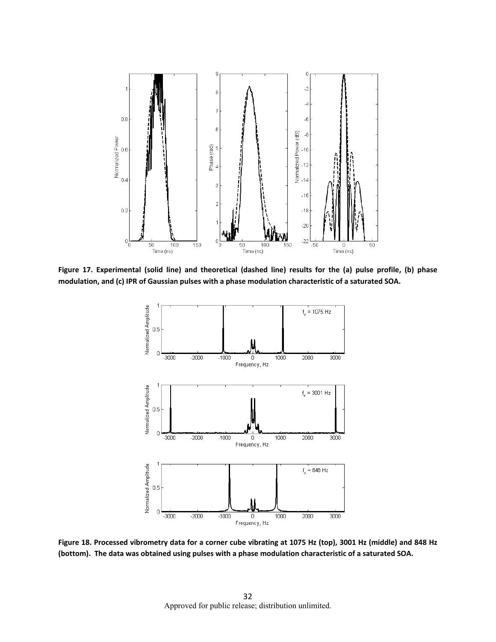

Figure 17. Experimental (solid line) and theoretical (dashed line) results for the (a) pulse profile, (b) phase **modulation, and (c) IPR of Gaussian pulses with a phase modulation characteristic of a saturated SOA.** 



Figure 18. Processed vibrometry data for a corner cube vibrating at 1075 Hz (top), 3001 Hz (middle) and 848 Hz (bottom). The data was obtained using pulses with a phase modulation characteristic of a saturated SOA.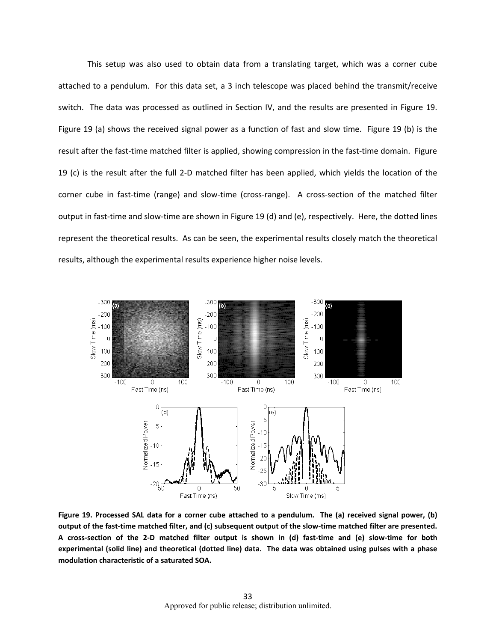This setup was also used to obtain data from a translating target, which was a corner cube attached to a pendulum. For this data set, a 3 inch telescope was placed behind the transmit/receive switch. The data was processed as outlined in Section IV, and the results are presented in Figure 19. Figure 19 (a) shows the received signal power as a function of fast and slow time. Figure 19 (b) is the result after the fast-time matched filter is applied, showing compression in the fast-time domain. Figure 19 (c) is the result after the full 2‐D matched filter has been applied, which yields the location of the corner cube in fast-time (range) and slow-time (cross-range). A cross-section of the matched filter output in fast-time and slow-time are shown in Figure 19 (d) and (e), respectively. Here, the dotted lines represent the theoretical results. As can be seen, the experimental results closely match the theoretical results, although the experimental results experience higher noise levels.



Figure 19. Processed SAL data for a corner cube attached to a pendulum. The (a) received signal power, (b) output of the fast-time matched filter, and (c) subsequent output of the slow-time matched filter are presented. A cross-section of the 2-D matched filter output is shown in (d) fast-time and (e) slow-time for both experimental (solid line) and theoretical (dotted line) data. The data was obtained using pulses with a phase **modulation characteristic of a saturated SOA.**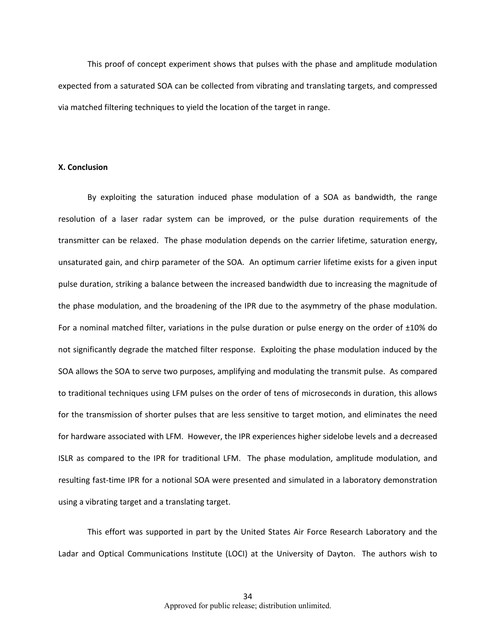This proof of concept experiment shows that pulses with the phase and amplitude modulation expected from a saturated SOA can be collected from vibrating and translating targets, and compressed via matched filtering techniques to yield the location of the target in range.

#### **X. Conclusion**

By exploiting the saturation induced phase modulation of a SOA as bandwidth, the range resolution of a laser radar system can be improved, or the pulse duration requirements of the transmitter can be relaxed. The phase modulation depends on the carrier lifetime, saturation energy, unsaturated gain, and chirp parameter of the SOA. An optimum carrier lifetime exists for a given input pulse duration, striking a balance between the increased bandwidth due to increasing the magnitude of the phase modulation, and the broadening of the IPR due to the asymmetry of the phase modulation. For a nominal matched filter, variations in the pulse duration or pulse energy on the order of  $\pm 10\%$  do not significantly degrade the matched filter response. Exploiting the phase modulation induced by the SOA allows the SOA to serve two purposes, amplifying and modulating the transmit pulse. As compared to traditional techniques using LFM pulses on the order of tens of microseconds in duration, this allows for the transmission of shorter pulses that are less sensitive to target motion, and eliminates the need for hardware associated with LFM. However, the IPR experiences higher sidelobe levels and a decreased ISLR as compared to the IPR for traditional LFM. The phase modulation, amplitude modulation, and resulting fast-time IPR for a notional SOA were presented and simulated in a laboratory demonstration using a vibrating target and a translating target.

This effort was supported in part by the United States Air Force Research Laboratory and the Ladar and Optical Communications Institute (LOCI) at the University of Dayton. The authors wish to